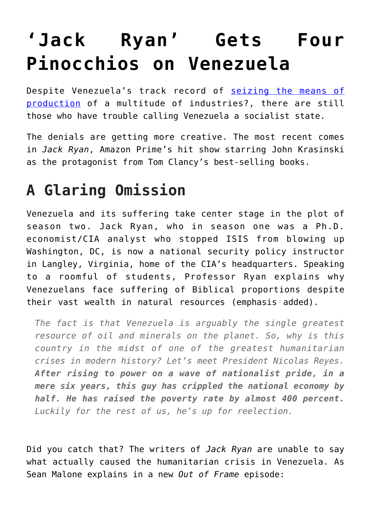## **['Jack Ryan' Gets Four](https://intellectualtakeout.org/2020/01/jack-ryan-gets-four-pinocchios-on-venezuela/) [Pinocchios on Venezuela](https://intellectualtakeout.org/2020/01/jack-ryan-gets-four-pinocchios-on-venezuela/)**

Despite Venezuela's track record of [seizing the means of](https://fee.org/articles/8-industries-hugo-chavez-nationalized-besides-oil-on-venezuelas-road-to-serfdom/) [production](https://fee.org/articles/8-industries-hugo-chavez-nationalized-besides-oil-on-venezuelas-road-to-serfdom/) of a multitude of industries?, there are still those who have trouble calling Venezuela a socialist state.

The denials are getting more creative. The most recent comes in *Jack Ryan*, Amazon Prime's hit show starring John Krasinski as the protagonist from Tom Clancy's best-selling books.

## **A Glaring Omission**

Venezuela and its suffering take center stage in the plot of season two. Jack Ryan, who in season one was a Ph.D. economist/CIA analyst who stopped ISIS from blowing up Washington, DC, is now a national security policy instructor in Langley, Virginia, home of the CIA's headquarters. Speaking to a roomful of students, Professor Ryan explains why Venezuelans face suffering of Biblical proportions despite their vast wealth in natural resources (emphasis added).

*The fact is that Venezuela is arguably the single greatest resource of oil and minerals on the planet. So, why is this country in the midst of one of the greatest humanitarian crises in modern history? Let's meet President Nicolas Reyes. After rising to power on a wave of nationalist pride, in a mere six years, this guy has crippled the national economy by half. He has raised the poverty rate by almost 400 percent. Luckily for the rest of us, he's up for reelection.* 

Did you catch that? The writers of *Jack Ryan* are unable to say what actually caused the humanitarian crisis in Venezuela. As Sean Malone explains in a new *Out of Frame* episode: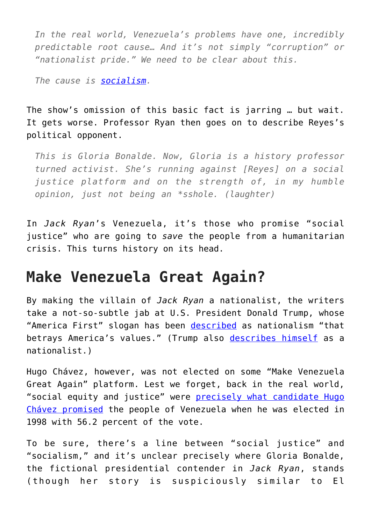*In the real world, Venezuela's problems have one, incredibly predictable root cause… And it's not simply "corruption" or "nationalist pride." We need to be clear about this.* 

*The cause is [socialism.](https://fee.org/resources/the-xyz-s-of-socialism/)*

The show's omission of this basic fact is jarring … but wait. It gets worse. Professor Ryan then goes on to describe Reyes's political opponent.

*This is Gloria Bonalde. Now, Gloria is a history professor turned activist. She's running against [Reyes] on a social justice platform and on the strength of, in my humble opinion, just not being an \*sshole. (laughter)*

In *Jack Ryan*'s Venezuela, it's those who promise "social justice" who are going to *save* the people from a humanitarian crisis. This turns history on its head.

## **Make Venezuela Great Again?**

By making the villain of *Jack Ryan* a nationalist, the writers take a not-so-subtle jab at U.S. President Donald Trump, whose "America First" slogan has been [described](https://www.usatoday.com/story/opinion/2018/11/25/donald-trump-america-first-nationalism-betrays-american-values-editorials-debates/2024321002/) as nationalism "that betrays America's values." (Trump also [describes himself](https://www.nytimes.com/2018/10/23/us/politics/nationalist-president-trump.html) as a nationalist.)

Hugo Chávez, however, was not elected on some "Make Venezuela Great Again" platform. Lest we forget, back in the real world, "social equity and justice" were [precisely what candidate Hugo](https://www.globalpolicy.org/component/content/article/153/26526.html) [Chávez promised](https://www.globalpolicy.org/component/content/article/153/26526.html) the people of Venezuela when he was elected in 1998 with 56.2 percent of the vote.

To be sure, there's a line between "social justice" and "socialism," and it's unclear precisely where Gloria Bonalde, the fictional presidential contender in *Jack Ryan*, stands (though her story is suspiciously similar to El